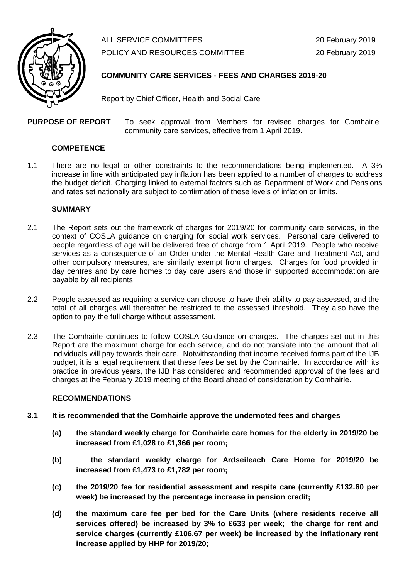

ALL SERVICE COMMITTEES 20 February 2019

POLICY AND RESOURCES COMMITTEE 20 February 2019

## **COMMUNITY CARE SERVICES - FEES AND CHARGES 2019-20**

Report by Chief Officer, Health and Social Care

#### **PURPOSE OF REPORT** To seek approval from Members for revised charges for Comhairle community care services, effective from 1 April 2019.

#### **COMPETENCE**

1.1 There are no legal or other constraints to the recommendations being implemented. A 3% increase in line with anticipated pay inflation has been applied to a number of charges to address the budget deficit. Charging linked to external factors such as Department of Work and Pensions and rates set nationally are subject to confirmation of these levels of inflation or limits.

#### **SUMMARY**

- 2.1 The Report sets out the framework of charges for 2019/20 for community care services, in the context of COSLA guidance on charging for social work services. Personal care delivered to people regardless of age will be delivered free of charge from 1 April 2019. People who receive services as a consequence of an Order under the Mental Health Care and Treatment Act, and other compulsory measures, are similarly exempt from charges. Charges for food provided in day centres and by care homes to day care users and those in supported accommodation are payable by all recipients.
- 2.2 People assessed as requiring a service can choose to have their ability to pay assessed, and the total of all charges will thereafter be restricted to the assessed threshold. They also have the option to pay the full charge without assessment.
- 2.3 The Comhairle continues to follow COSLA Guidance on charges. The charges set out in this Report are the maximum charge for each service, and do not translate into the amount that all individuals will pay towards their care. Notwithstanding that income received forms part of the IJB budget, it is a legal requirement that these fees be set by the Comhairle. In accordance with its practice in previous years, the IJB has considered and recommended approval of the fees and charges at the February 2019 meeting of the Board ahead of consideration by Comhairle.

#### **RECOMMENDATIONS**

- **3.1 It is recommended that the Comhairle approve the undernoted fees and charges**
	- **(a) the standard weekly charge for Comhairle care homes for the elderly in 2019/20 be increased from £1,028 to £1,366 per room;**
	- **(b) the standard weekly charge for Ardseileach Care Home for 2019/20 be increased from £1,473 to £1,782 per room;**
	- **(c) the 2019/20 fee for residential assessment and respite care (currently £132.60 per week) be increased by the percentage increase in pension credit;**
	- **(d) the maximum care fee per bed for the Care Units (where residents receive all services offered) be increased by 3% to £633 per week; the charge for rent and service charges (currently £106.67 per week) be increased by the inflationary rent increase applied by HHP for 2019/20;**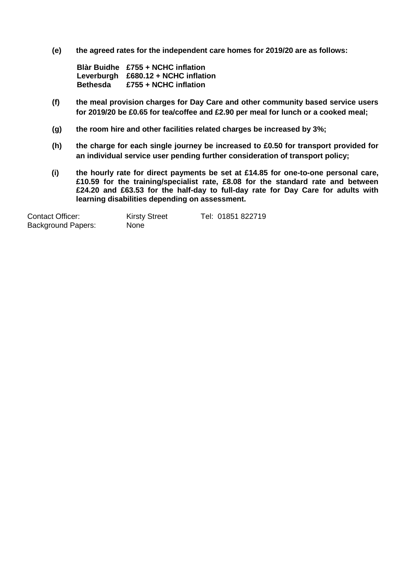**(e) the agreed rates for the independent care homes for 2019/20 are as follows:**

**Blàr Buidhe £755 + NCHC inflation Leverburgh £680.12 + NCHC inflation Bethesda £755 + NCHC inflation**

- **(f) the meal provision charges for Day Care and other community based service users for 2019/20 be £0.65 for tea/coffee and £2.90 per meal for lunch or a cooked meal;**
- **(g) the room hire and other facilities related charges be increased by 3%;**
- **(h) the charge for each single journey be increased to £0.50 for transport provided for an individual service user pending further consideration of transport policy;**
- **(i) the hourly rate for direct payments be set at £14.85 for one-to-one personal care, £10.59 for the training/specialist rate, £8.08 for the standard rate and between £24.20 and £63.53 for the half-day to full-day rate for Day Care for adults with learning disabilities depending on assessment.**

| Contact Officer:   | <b>Kirsty Street</b> | Tel: 01851 822719 |
|--------------------|----------------------|-------------------|
| Background Papers: | <b>None</b>          |                   |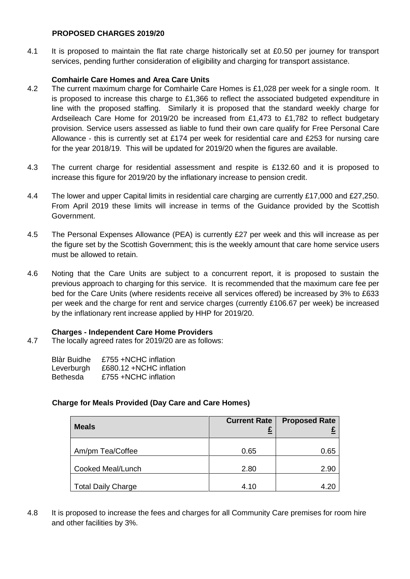#### **PROPOSED CHARGES 2019/20**

4.1 It is proposed to maintain the flat rate charge historically set at £0.50 per journey for transport services, pending further consideration of eligibility and charging for transport assistance.

## **Comhairle Care Homes and Area Care Units**

- 4.2 The current maximum charge for Comhairle Care Homes is £1,028 per week for a single room. It is proposed to increase this charge to £1,366 to reflect the associated budgeted expenditure in line with the proposed staffing. Similarly it is proposed that the standard weekly charge for Ardseileach Care Home for 2019/20 be increased from £1,473 to £1,782 to reflect budgetary provision. Service users assessed as liable to fund their own care qualify for Free Personal Care Allowance - this is currently set at £174 per week for residential care and £253 for nursing care for the year 2018/19. This will be updated for 2019/20 when the figures are available.
- 4.3 The current charge for residential assessment and respite is £132.60 and it is proposed to increase this figure for 2019/20 by the inflationary increase to pension credit.
- 4.4 The lower and upper Capital limits in residential care charging are currently £17,000 and £27,250. From April 2019 these limits will increase in terms of the Guidance provided by the Scottish Government.
- 4.5 The Personal Expenses Allowance (PEA) is currently £27 per week and this will increase as per the figure set by the Scottish Government; this is the weekly amount that care home service users must be allowed to retain.
- 4.6 Noting that the Care Units are subject to a concurrent report, it is proposed to sustain the previous approach to charging for this service. It is recommended that the maximum care fee per bed for the Care Units (where residents receive all services offered) be increased by 3% to £633 per week and the charge for rent and service charges (currently £106.67 per week) be increased by the inflationary rent increase applied by HHP for 2019/20.

## **Charges - Independent Care Home Providers**

4.7 The locally agreed rates for 2019/20 are as follows:

| <b>Blàr Buidhe</b> | £755 +NCHC inflation     |
|--------------------|--------------------------|
| Leverburgh         | £680.12 + NCHC inflation |
| <b>Bethesda</b>    | £755 +NCHC inflation     |

## **Charge for Meals Provided (Day Care and Care Homes)**

| <b>Meals</b>              | <b>Current Rate</b> | <b>Proposed Rate</b> |
|---------------------------|---------------------|----------------------|
| Am/pm Tea/Coffee          | 0.65                | 0.65                 |
| Cooked Meal/Lunch         | 2.80                | 2.90                 |
| <b>Total Daily Charge</b> | 4.10                | 4.20                 |

4.8 It is proposed to increase the fees and charges for all Community Care premises for room hire and other facilities by 3%.